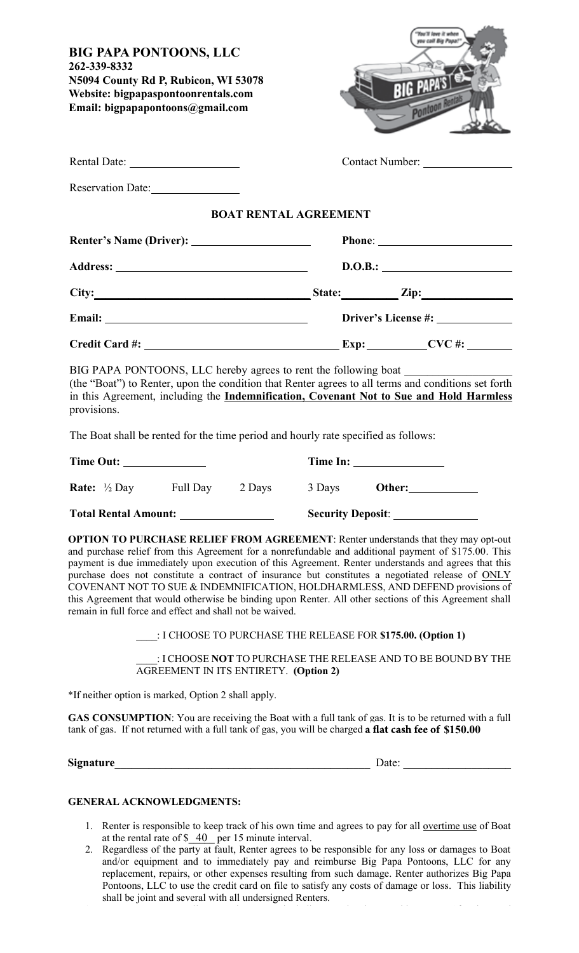| <b>BIG PAPA PONTOONS, LLC</b><br>262-339-8332<br>N5094 County Rd P, Rubicon, WI 53078<br>Website: bigpapaspontoonrentals.com<br>Email: bigpapapontoons@gmail.com                                                                                                                                                                                                                                                                                                                                                                                                                                                                                                                                               |                              | tu call Big Papa!<br><b>BIG PAPA'STE</b><br>Ponto. |                                                                                                                              |  |  |
|----------------------------------------------------------------------------------------------------------------------------------------------------------------------------------------------------------------------------------------------------------------------------------------------------------------------------------------------------------------------------------------------------------------------------------------------------------------------------------------------------------------------------------------------------------------------------------------------------------------------------------------------------------------------------------------------------------------|------------------------------|----------------------------------------------------|------------------------------------------------------------------------------------------------------------------------------|--|--|
| Rental Date:                                                                                                                                                                                                                                                                                                                                                                                                                                                                                                                                                                                                                                                                                                   |                              |                                                    |                                                                                                                              |  |  |
| Reservation Date:                                                                                                                                                                                                                                                                                                                                                                                                                                                                                                                                                                                                                                                                                              |                              |                                                    |                                                                                                                              |  |  |
|                                                                                                                                                                                                                                                                                                                                                                                                                                                                                                                                                                                                                                                                                                                | <b>BOAT RENTAL AGREEMENT</b> |                                                    |                                                                                                                              |  |  |
|                                                                                                                                                                                                                                                                                                                                                                                                                                                                                                                                                                                                                                                                                                                |                              |                                                    |                                                                                                                              |  |  |
|                                                                                                                                                                                                                                                                                                                                                                                                                                                                                                                                                                                                                                                                                                                |                              | D.O.B.:                                            |                                                                                                                              |  |  |
|                                                                                                                                                                                                                                                                                                                                                                                                                                                                                                                                                                                                                                                                                                                |                              |                                                    |                                                                                                                              |  |  |
|                                                                                                                                                                                                                                                                                                                                                                                                                                                                                                                                                                                                                                                                                                                |                              |                                                    |                                                                                                                              |  |  |
|                                                                                                                                                                                                                                                                                                                                                                                                                                                                                                                                                                                                                                                                                                                |                              |                                                    |                                                                                                                              |  |  |
| (the "Boat") to Renter, upon the condition that Renter agrees to all terms and conditions set forth<br>in this Agreement, including the Indemnification, Covenant Not to Sue and Hold Harmless<br>provisions.<br>The Boat shall be rented for the time period and hourly rate specified as follows:                                                                                                                                                                                                                                                                                                                                                                                                            |                              |                                                    | Time In:                                                                                                                     |  |  |
| <b>Rate:</b> $\frac{1}{2}$ Day Full Day 2 Days                                                                                                                                                                                                                                                                                                                                                                                                                                                                                                                                                                                                                                                                 |                              |                                                    | 3 Days Other:                                                                                                                |  |  |
| Total Rental Amount: ________________                                                                                                                                                                                                                                                                                                                                                                                                                                                                                                                                                                                                                                                                          |                              |                                                    | Security Deposit: ________________                                                                                           |  |  |
| <b>OPTION TO PURCHASE RELIEF FROM AGREEMENT:</b> Renter understands that they may opt-out<br>and purchase relief from this Agreement for a nonrefundable and additional payment of \$175.00. This<br>payment is due immediately upon execution of this Agreement. Renter understands and agrees that this<br>purchase does not constitute a contract of insurance but constitutes a negotiated release of ONLY<br>COVENANT NOT TO SUE & INDEMNIFICATION, HOLDHARMLESS, AND DEFEND provisions of<br>this Agreement that would otherwise be binding upon Renter. All other sections of this Agreement shall<br>remain in full force and effect and shall not be waived.<br>AGREEMENT IN ITS ENTIRETY. (Option 2) |                              |                                                    | : I CHOOSE TO PURCHASE THE RELEASE FOR \$175.00. (Option 1)<br>: I CHOOSE NOT TO PURCHASE THE RELEASE AND TO BE BOUND BY THE |  |  |
| *If neither option is marked, Option 2 shall apply.                                                                                                                                                                                                                                                                                                                                                                                                                                                                                                                                                                                                                                                            |                              |                                                    |                                                                                                                              |  |  |
| GAS CONSUMPTION: You are receiving the Boat with a full tank of gas. It is to be returned with a full<br>tank of gas. If not returned with a full tank of gas, you will be charged a flat cash fee of \$150.00                                                                                                                                                                                                                                                                                                                                                                                                                                                                                                 |                              |                                                    |                                                                                                                              |  |  |
|                                                                                                                                                                                                                                                                                                                                                                                                                                                                                                                                                                                                                                                                                                                |                              |                                                    |                                                                                                                              |  |  |
| <b>GENERAL ACKNOWLEDGMENTS:</b>                                                                                                                                                                                                                                                                                                                                                                                                                                                                                                                                                                                                                                                                                |                              |                                                    |                                                                                                                              |  |  |

- 1. Renter is responsible to keep track of his own time and agrees to pay for all overtime use of Boat at the rental rate of  $\frac{40}{2}$  per 15 minute interval.  $\overline{40}$ 1. Renter is responsible to keep track of his own time and agrees to pay for all <u>overtime use</u> of Boat at the rental rate of \$ 40 per 15 minute interval.
- 2. Regardless of the party at fault, Renter agrees to be responsible for any loss or damages to Boat and/or equipment and to immediately pay and reimburse Big Papa Pontoons, LLC for any replacement, repairs, or other expenses resulting from such damage. Renter authorizes Big Papa Pontoons, LLC to use the credit card on file to satisfy any costs of damage or loss. This liability shall be joint and several with all undersigned Renters. 2. Regardless of the party at fault, Renter agrees to be responsible for any loss or damages to Boat and/or equipment and to immediately pay and reimburse Big Papa Pontoons, LLC for any

3. Renter agrees to pay all costs and expenses, including actual and reasonable attorneys' fees incurred

payment is due immediately upon execution of this Agreement. Renter understands and agrees that this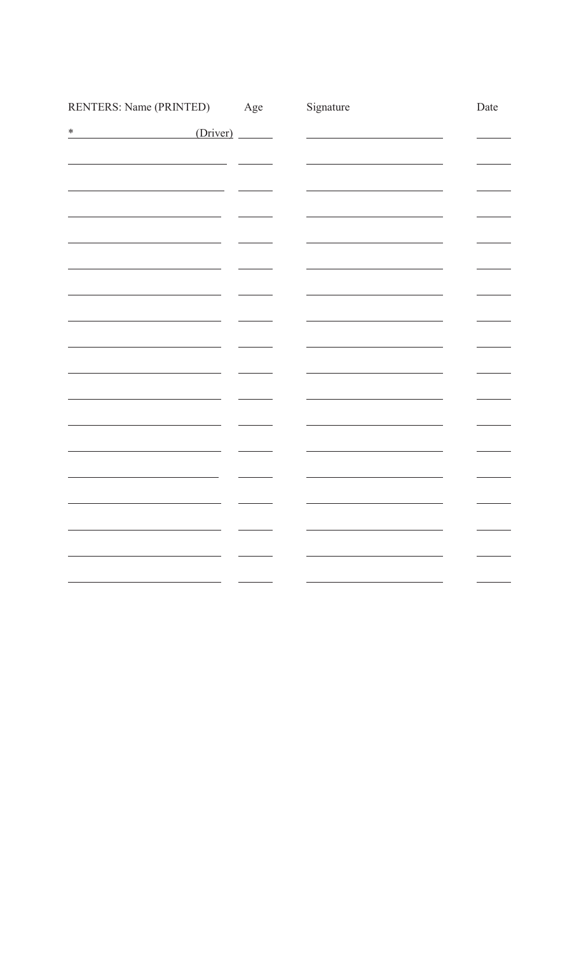| RENTERS: Name (PRINTED) | Age | Signature | Date |
|-------------------------|-----|-----------|------|
| (Driver)<br>$\ast$      |     |           |      |
|                         |     |           |      |
|                         |     |           |      |
|                         |     |           |      |
|                         |     |           |      |
|                         |     |           |      |
|                         |     |           |      |
|                         |     |           |      |
|                         |     |           |      |
|                         |     |           |      |
|                         |     |           |      |
|                         |     |           |      |
|                         |     |           |      |
|                         |     |           |      |
|                         |     |           |      |
|                         |     |           |      |
|                         |     |           |      |
|                         |     |           |      |
|                         |     |           |      |
|                         |     |           |      |
|                         |     |           |      |
|                         |     |           |      |
|                         |     |           |      |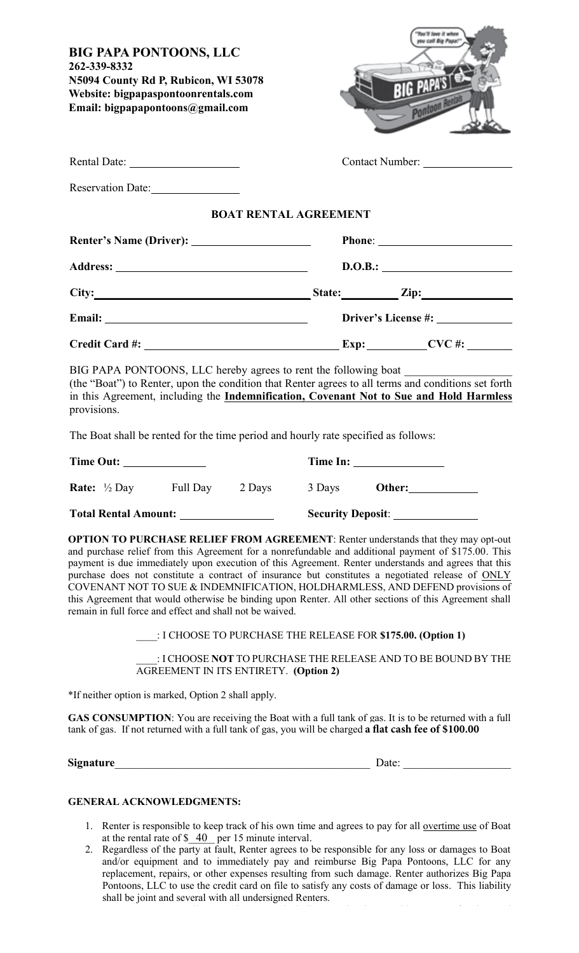| <b>BIG PAPA PONTOONS, LLC</b><br>262-339-8332<br>N5094 County Rd P, Rubicon, WI 53078<br>Website: bigpapaspontoonrentals.com<br>Email: bigpapapontoons@gmail.com                                                                                                                                                                                                                                                                                                                                                                                                                                                                                               |  |                                                             | ou call Big Papa!<br><b>BIG PAPA'S</b><br><b>Pontod</b> |  |                                                               |  |
|----------------------------------------------------------------------------------------------------------------------------------------------------------------------------------------------------------------------------------------------------------------------------------------------------------------------------------------------------------------------------------------------------------------------------------------------------------------------------------------------------------------------------------------------------------------------------------------------------------------------------------------------------------------|--|-------------------------------------------------------------|---------------------------------------------------------|--|---------------------------------------------------------------|--|
| Rental Date:                                                                                                                                                                                                                                                                                                                                                                                                                                                                                                                                                                                                                                                   |  |                                                             |                                                         |  | Contact Number:                                               |  |
| Reservation Date:                                                                                                                                                                                                                                                                                                                                                                                                                                                                                                                                                                                                                                              |  |                                                             |                                                         |  |                                                               |  |
|                                                                                                                                                                                                                                                                                                                                                                                                                                                                                                                                                                                                                                                                |  | <b>BOAT RENTAL AGREEMENT</b>                                |                                                         |  |                                                               |  |
|                                                                                                                                                                                                                                                                                                                                                                                                                                                                                                                                                                                                                                                                |  |                                                             |                                                         |  |                                                               |  |
|                                                                                                                                                                                                                                                                                                                                                                                                                                                                                                                                                                                                                                                                |  |                                                             | D.O.B.:                                                 |  |                                                               |  |
| City: $\qquad \qquad \text{State:} \qquad \qquad \text{Zip:}$                                                                                                                                                                                                                                                                                                                                                                                                                                                                                                                                                                                                  |  |                                                             |                                                         |  |                                                               |  |
|                                                                                                                                                                                                                                                                                                                                                                                                                                                                                                                                                                                                                                                                |  |                                                             |                                                         |  |                                                               |  |
|                                                                                                                                                                                                                                                                                                                                                                                                                                                                                                                                                                                                                                                                |  |                                                             |                                                         |  |                                                               |  |
| BIG PAPA PONTOONS, LLC hereby agrees to rent the following boat ________________<br>(the "Boat") to Renter, upon the condition that Renter agrees to all terms and conditions set forth<br>in this Agreement, including the Indemnification, Covenant Not to Sue and Hold Harmless<br>provisions.<br>The Boat shall be rented for the time period and hourly rate specified as follows:                                                                                                                                                                                                                                                                        |  |                                                             |                                                         |  |                                                               |  |
| Time Out:                                                                                                                                                                                                                                                                                                                                                                                                                                                                                                                                                                                                                                                      |  |                                                             |                                                         |  |                                                               |  |
| <b>Rate:</b> $\frac{1}{2}$ Day Full Day 2 Days                                                                                                                                                                                                                                                                                                                                                                                                                                                                                                                                                                                                                 |  |                                                             |                                                         |  | 3 Days Other:                                                 |  |
|                                                                                                                                                                                                                                                                                                                                                                                                                                                                                                                                                                                                                                                                |  |                                                             |                                                         |  | Security Deposit: ________________                            |  |
| OPTION TO PURCHASE RELIEF FROM AGREEMENT: Renter understands that they may opt-out<br>and purchase relief from this Agreement for a nonrefundable and additional payment of \$175.00. This<br>payment is due immediately upon execution of this Agreement. Renter understands and agrees that this<br>purchase does not constitute a contract of insurance but constitutes a negotiated release of ONLY<br>COVENANT NOT TO SUE & INDEMNIFICATION, HOLDHARMLESS, AND DEFEND provisions of<br>this Agreement that would otherwise be binding upon Renter. All other sections of this Agreement shall<br>remain in full force and effect and shall not be waived. |  | : I CHOOSE TO PURCHASE THE RELEASE FOR \$175.00. (Option 1) |                                                         |  | : I CHOOSE NOT TO PURCHASE THE RELEASE AND TO BE BOUND BY THE |  |
|                                                                                                                                                                                                                                                                                                                                                                                                                                                                                                                                                                                                                                                                |  | <b>AGREEMENT IN ITS ENTIRETY. (Option 2)</b>                |                                                         |  |                                                               |  |
| *If neither option is marked, Option 2 shall apply.                                                                                                                                                                                                                                                                                                                                                                                                                                                                                                                                                                                                            |  |                                                             |                                                         |  |                                                               |  |
| <b>GAS CONSUMPTION:</b> You are receiving the Boat with a full tank of gas. It is to be returned with a full<br>tank of gas. If not returned with a full tank of gas, you will be charged a flat cash fee of \$100.00                                                                                                                                                                                                                                                                                                                                                                                                                                          |  |                                                             |                                                         |  |                                                               |  |
|                                                                                                                                                                                                                                                                                                                                                                                                                                                                                                                                                                                                                                                                |  |                                                             |                                                         |  |                                                               |  |
| <b>GENERAL ACKNOWLEDGMENTS:</b>                                                                                                                                                                                                                                                                                                                                                                                                                                                                                                                                                                                                                                |  |                                                             |                                                         |  |                                                               |  |

- 1. Renter is responsible to keep track of his own time and agrees to pay for all overtime use of Boat at the rental rate of  $\frac{40}{2}$  per 15 minute interval. 40 1. Renter is responsible to keep track of his own time and agrees to pay for all <u>overtime use</u> of Boat at the rental rate of \$ 40 per 15 minute interval.
- 2. Regardless of the party at fault, Renter agrees to be responsible for any loss or damages to Boat and/or equipment and to immediately pay and reimburse Big Papa Pontoons, LLC for any replacement, repairs, or other expenses resulting from such damage. Renter authorizes Big Papa Pontoons, LLC to use the credit card on file to satisfy any costs of damage or loss. This liability shall be joint and several with all undersigned Renters. 2. Regardless of the party at fault, Renter agrees to be responsible for any loss or damages to Boat and/or equipment and to immediately pay and reimburse Big Papa Pontoons, LLC for any payment is due immediately upon execution of this Agreement. Renter understands and agrees that this

3. Renter agrees to pay all costs and expenses, including actual and reasonable attorneys' fees incurred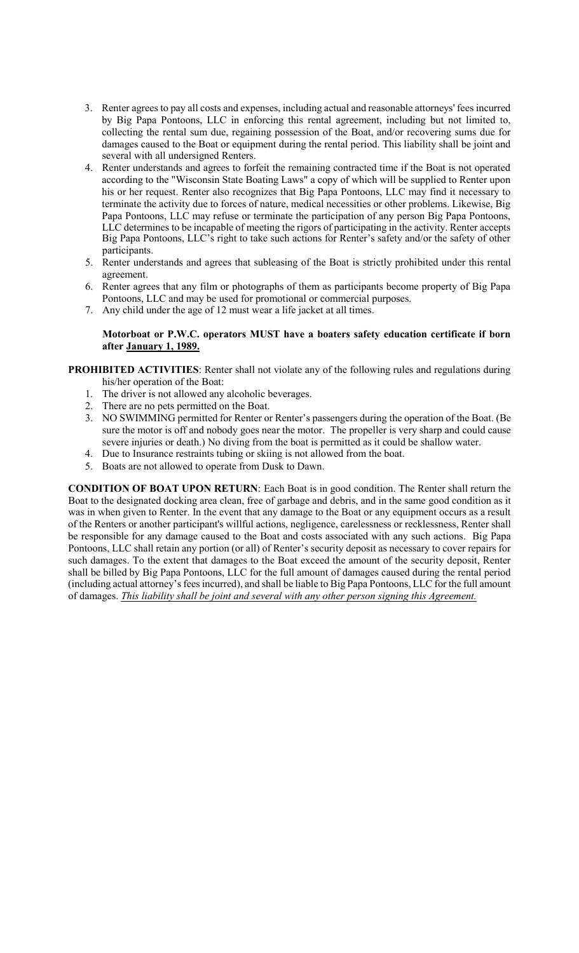- shall be joint and several with all undersigned Renters. 3. Renter agrees to pay all costs and expenses, including actual and reasonable attorneys' fees incurred by Big Papa Pontoons, LLC in enforcing this rental agreement, including but not limited to, collecting the rental sum due, regaining possession of the Boat, and/or recovering sums due for damages caused to the Boat or equipment during the rental period. This liability shall be joint and several with all undersigned Renters.
- 4. Renter understands and agrees to forfeit the remaining contracted time if the Boat is not operated according to the "Wisconsin State Boating Laws" a copy of which will be supplied to Renter upon his or her request. Renter also recognizes that Big Papa Pontoons, LLC may find it necessary to terminate the activity due to forces of nature, medical necessities or other problems. Likewise, Big Papa Pontoons, LLC may refuse or terminate the participation of any person Big Papa Pontoons, LLC determines to be incapable of meeting the rigors of participating in the activity. Renter accepts Big Papa Pontoons, LLC's right to take such actions for Renter's safety and/or the safety of other  $\alpha$  participants.
- 5. Renter understands and agrees that subleasing of the Boat is strictly prohibited under this rental 6. Renter agrees that any film or photographs of them as participants become property of Big Papa agreement.
- 6. Renter agrees that any film or photographs of them as participants become property of Big Papa Pontoons, LLC and may be used for promotional or commercial purposes.
- 7. Any child under the age of 12 must wear a life jacket at all times.

## **after January 1, 1989. Motorboat or P.W.C. operators MUST have a boaters safety education certificate if born after January 1, 1989.**

## PROHIBITED ACTIVITIES: Renter shall not violate any of the following rules and regulations during his/her operation of the Boat:

- 1. The driver is not allowed any alcoholic beverages.
- 2. There are no pets permitted on the Boat. 2. There are no pets permitted on the Boat.
- 3. NO SWIMMING permitted for Renter or Renter's passengers during the operation of the Boat. (Be sure the motor is off and nobody goes near the motor. The propeller is very sharp and could cause severe injuries or death.) No diving from the boat is permitted as it could be shallow water.
- 4. Due to Insurance restraints tubing or skiing is not allowed from the boat.
- 5. Boats are not allowed to operate from Dusk to Dawn.

**CONDITION OF BOAT UPON RETURN**: Each Boat is in good condition. The Renter shall return the Boat to the designated docking area clean, free of garbage and debris, and in the same good condition as it was in when given to Renter. In the event that any damage to the Boat or any equipment occurs as a result of the Renters or another participant's willful actions, negligence, carelessness or recklessness, Renter shall be responsible for any damage caused to the Boat and costs associated with any such actions. Big Papa Pontoons, LLC shall retain any portion (or all) of Renter's security deposit as necessary to cover repairs for such damages. To the extent that damages to the Boat exceed the amount of the security deposit, Renter shall be billed by Big Papa Pontoons, LLC for the full amount of damages caused during the rental period (including actual attorney's fees incurred), and shall be liable to Big Papa Pontoons, LLC for the full amount of damages. *This liability shall be joint and several with any other person signing this Agreement*.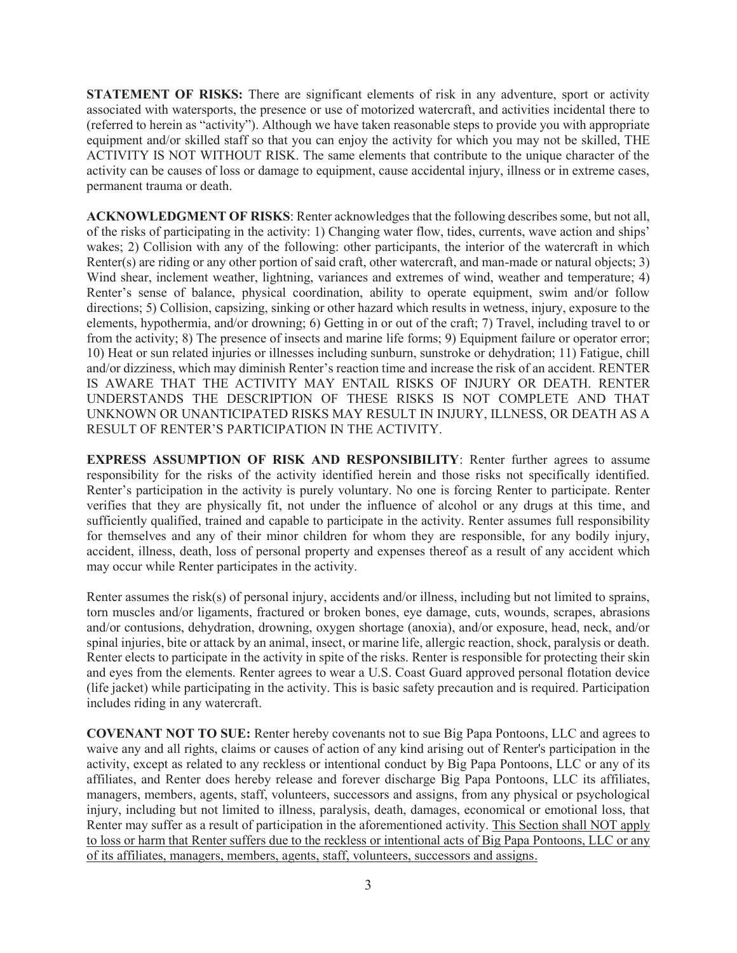**STATEMENT OF RISKS:** There are significant elements of risk in any adventure, sport or activity associated with watersports, the presence or use of motorized watercraft, and activities incidental there to (referred to herein as "activity"). Although we have taken reasonable steps to provide you with appropriate equipment and/or skilled staff so that you can enjoy the activity for which you may not be skilled, THE ACTIVITY IS NOT WITHOUT RISK. The same elements that contribute to the unique character of the activity can be causes of loss or damage to equipment, cause accidental injury, illness or in extreme cases, permanent trauma or death.

**ACKNOWLEDGMENT OF RISKS**: Renter acknowledges that the following describes some, but not all, of the risks of participating in the activity: 1) Changing water flow, tides, currents, wave action and ships' wakes; 2) Collision with any of the following: other participants, the interior of the watercraft in which Renter(s) are riding or any other portion of said craft, other watercraft, and man-made or natural objects; 3) Wind shear, inclement weather, lightning, variances and extremes of wind, weather and temperature; 4) Renter's sense of balance, physical coordination, ability to operate equipment, swim and/or follow directions; 5) Collision, capsizing, sinking or other hazard which results in wetness, injury, exposure to the elements, hypothermia, and/or drowning; 6) Getting in or out of the craft; 7) Travel, including travel to or from the activity; 8) The presence of insects and marine life forms; 9) Equipment failure or operator error; 10) Heat or sun related injuries or illnesses including sunburn, sunstroke or dehydration; 11) Fatigue, chill and/or dizziness, which may diminish Renter's reaction time and increase the risk of an accident. RENTER IS AWARE THAT THE ACTIVITY MAY ENTAIL RISKS OF INJURY OR DEATH. RENTER UNDERSTANDS THE DESCRIPTION OF THESE RISKS IS NOT COMPLETE AND THAT UNKNOWN OR UNANTICIPATED RISKS MAY RESULT IN INJURY, ILLNESS, OR DEATH AS A RESULT OF RENTER'S PARTICIPATION IN THE ACTIVITY.

verifies that they are physically fit, not under the influence of alcohol or any drugs at this time, and **EXPRESS ASSUMPTION OF RISK AND RESPONSIBILITY**: Renter further agrees to assume responsibility for the risks of the activity identified herein and those risks not specifically identified. Renter's participation in the activity is purely voluntary. No one is forcing Renter to participate. Renter sufficiently qualified, trained and capable to participate in the activity. Renter assumes full responsibility for themselves and any of their minor children for whom they are responsible, for any bodily injury, accident, illness, death, loss of personal property and expenses thereof as a result of any accident which may occur while Renter participates in the activity.

Renter assumes the risk(s) of personal injury, accidents and/or illness, including but not limited to sprains, torn muscles and/or ligaments, fractured or broken bones, eye damage, cuts, wounds, scrapes, abrasions and/or contusions, dehydration, drowning, oxygen shortage (anoxia), and/or exposure, head, neck, and/or spinal injuries, bite or attack by an animal, insect, or marine life, allergic reaction, shock, paralysis or death. Renter elects to participate in the activity in spite of the risks. Renter is responsible for protecting their skin and eyes from the elements. Renter agrees to wear a U.S. Coast Guard approved personal flotation device (life jacket) while participating in the activity. This is basic safety precaution and is required. Participation includes riding in any watercraft.

**COVENANT NOT TO SUE:** Renter hereby covenants not to sue Big Papa Pontoons, LLC and agrees to waive any and all rights, claims or causes of action of any kind arising out of Renter's participation in the activity, except as related to any reckless or intentional conduct by Big Papa Pontoons, LLC or any of its affiliates, and Renter does hereby release and forever discharge Big Papa Pontoons, LLC its affiliates, managers, members, agents, staff, volunteers, successors and assigns, from any physical or psychological injury, including but not limited to illness, paralysis, death, damages, economical or emotional loss, that Renter may suffer as a result of participation in the aforementioned activity. This Section shall NOT apply to loss or harm that Renter suffers due to the reckless or intentional acts of Big Papa Pontoons, LLC or any of its affiliates, managers, members, agents, staff, volunteers, successors and assigns.